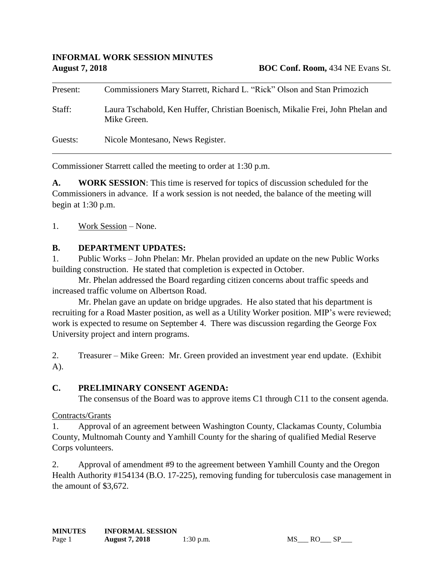| Present: | Commissioners Mary Starrett, Richard L. "Rick" Olson and Stan Primozich                       |
|----------|-----------------------------------------------------------------------------------------------|
| Staff:   | Laura Tschabold, Ken Huffer, Christian Boenisch, Mikalie Frei, John Phelan and<br>Mike Green. |
| Guests:  | Nicole Montesano, News Register.                                                              |

Commissioner Starrett called the meeting to order at 1:30 p.m.

**A. WORK SESSION**: This time is reserved for topics of discussion scheduled for the Commissioners in advance. If a work session is not needed, the balance of the meeting will begin at 1:30 p.m.

1. Work Session – None.

#### **B. DEPARTMENT UPDATES:**

1. Public Works – John Phelan: Mr. Phelan provided an update on the new Public Works building construction. He stated that completion is expected in October.

Mr. Phelan addressed the Board regarding citizen concerns about traffic speeds and increased traffic volume on Albertson Road.

Mr. Phelan gave an update on bridge upgrades. He also stated that his department is recruiting for a Road Master position, as well as a Utility Worker position. MIP's were reviewed; work is expected to resume on September 4. There was discussion regarding the George Fox University project and intern programs.

2. Treasurer – Mike Green: Mr. Green provided an investment year end update. (Exhibit A).

#### **C. PRELIMINARY CONSENT AGENDA:**

The consensus of the Board was to approve items C1 through C11 to the consent agenda.

#### Contracts/Grants

1. Approval of an agreement between Washington County, Clackamas County, Columbia County, Multnomah County and Yamhill County for the sharing of qualified Medial Reserve Corps volunteers.

2. Approval of amendment #9 to the agreement between Yamhill County and the Oregon Health Authority #154134 (B.O. 17-225), removing funding for tuberculosis case management in the amount of \$3,672.